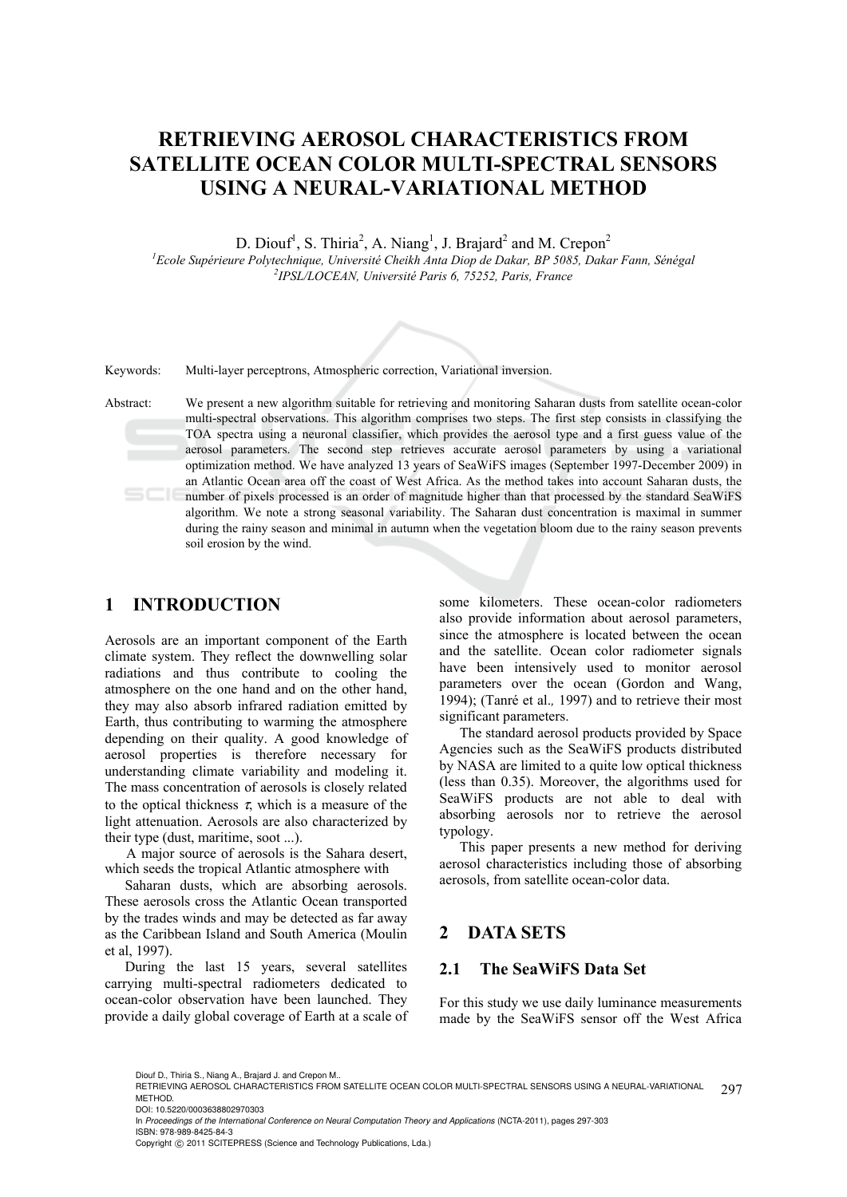# **RETRIEVING AEROSOL CHARACTERISTICS FROM SATELLITE OCEAN COLOR MULTI-SPECTRAL SENSORS USING A NEURAL-VARIATIONAL METHOD**

D. Diouf<sup>1</sup>, S. Thiria<sup>2</sup>, A. Niang<sup>1</sup>, J. Brajard<sup>2</sup> and M. Crepon<sup>2</sup>

<sup>1</sup> Ecole Supérieure Polytechnique, Université Cheikh Anta Diop de Dakar, BP 5085, Dakar Fann, Sénégal <sup>2</sup> IDSI *A CCEAN, Université Banis 6, 75353*, Baris, Erance *IPSL/LOCEAN, Université Paris 6, 75252, Paris, France* 



Keywords: Multi-layer perceptrons, Atmospheric correction, Variational inversion.

Abstract: We present a new algorithm suitable for retrieving and monitoring Saharan dusts from satellite ocean-color multi-spectral observations. This algorithm comprises two steps. The first step consists in classifying the TOA spectra using a neuronal classifier, which provides the aerosol type and a first guess value of the aerosol parameters. The second step retrieves accurate aerosol parameters by using a variational optimization method. We have analyzed 13 years of SeaWiFS images (September 1997-December 2009) in an Atlantic Ocean area off the coast of West Africa. As the method takes into account Saharan dusts, the number of pixels processed is an order of magnitude higher than that processed by the standard SeaWiFS algorithm. We note a strong seasonal variability. The Saharan dust concentration is maximal in summer during the rainy season and minimal in autumn when the vegetation bloom due to the rainy season prevents soil erosion by the wind.

# **1 INTRODUCTION**

Aerosols are an important component of the Earth climate system. They reflect the downwelling solar radiations and thus contribute to cooling the atmosphere on the one hand and on the other hand, they may also absorb infrared radiation emitted by Earth, thus contributing to warming the atmosphere depending on their quality. A good knowledge of aerosol properties is therefore necessary for understanding climate variability and modeling it. The mass concentration of aerosols is closely related to the optical thickness  $\tau$ , which is a measure of the light attenuation. Aerosols are also characterized by their type (dust, maritime, soot ...).

A major source of aerosols is the Sahara desert, which seeds the tropical Atlantic atmosphere with

Saharan dusts, which are absorbing aerosols. These aerosols cross the Atlantic Ocean transported by the trades winds and may be detected as far away as the Caribbean Island and South America (Moulin et al, 1997).

During the last 15 years, several satellites carrying multi-spectral radiometers dedicated to ocean-color observation have been launched. They provide a daily global coverage of Earth at a scale of

some kilometers. These ocean-color radiometers also provide information about aerosol parameters, since the atmosphere is located between the ocean and the satellite. Ocean color radiometer signals have been intensively used to monitor aerosol parameters over the ocean (Gordon and Wang, 1994); (Tanré et al.*,* 1997) and to retrieve their most significant parameters.

The standard aerosol products provided by Space Agencies such as the SeaWiFS products distributed by NASA are limited to a quite low optical thickness (less than 0.35). Moreover, the algorithms used for SeaWiFS products are not able to deal with absorbing aerosols nor to retrieve the aerosol typology.

This paper presents a new method for deriving aerosol characteristics including those of absorbing aerosols, from satellite ocean-color data.

# **2 DATA SETS**

### **2.1 The SeaWiFS Data Set**

For this study we use daily luminance measurements made by the SeaWiFS sensor off the West Africa

Diouf D., Thiria S., Niang A., Brajard J. and Crepon M..

Copyright © 2011 SCITEPRESS (Science and Technology Publications, Lda.)

<sup>297</sup> RETRIEVING AEROSOL CHARACTERISTICS FROM SATELLITE OCEAN COLOR MULTI-SPECTRAL SENSORS USING A NEURAL-VARIATIONAL **METHOD** 

DOI: 10.5220/0003638802970303

In *Proceedings of the International Conference on Neural Computation Theory and Applications* (NCTA-2011), pages 297-303 ISBN: 978-989-8425-84-3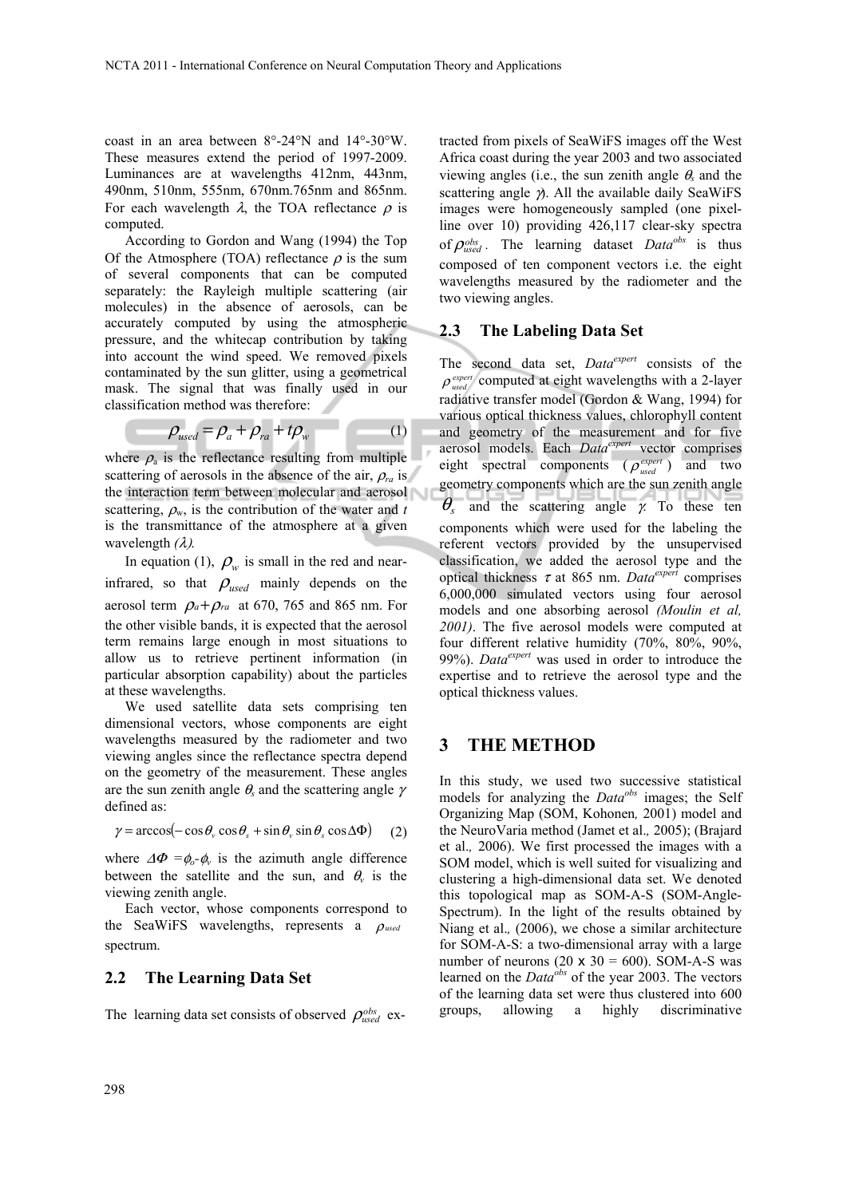coast in an area between 8°-24°N and 14°-30°W. These measures extend the period of 1997-2009. Luminances are at wavelengths 412nm, 443nm, 490nm, 510nm, 555nm, 670nm.765nm and 865nm. For each wavelength  $\lambda$ , the TOA reflectance  $\rho$  is computed.

According to Gordon and Wang (1994) the Top Of the Atmosphere (TOA) reflectance  $\rho$  is the sum of several components that can be computed separately: the Rayleigh multiple scattering (air molecules) in the absence of aerosols, can be accurately computed by using the atmospheric pressure, and the whitecap contribution by taking into account the wind speed. We removed pixels contaminated by the sun glitter, using a geometrical mask. The signal that was finally used in our classification method was therefore:

$$
\rho_{used} = \rho_a + \rho_{ra} + t\rho_w \tag{1}
$$

where  $\rho_a$  is the reflectance resulting from multiple scattering of aerosols in the absence of the air,  $\rho_{ra}$  is the interaction term between molecular and aerosol scattering,  $\rho_w$ , is the contribution of the water and *t* is the transmittance of the atmosphere at a given wavelength *(*λ).

In equation (1),  $\rho_w$  is small in the red and nearinfrared, so that  $\rho_{used}$  mainly depends on the aerosol term  $\rho_a + \rho_{ra}$  at 670, 765 and 865 nm. For the other visible bands, it is expected that the aerosol term remains large enough in most situations to allow us to retrieve pertinent information (in particular absorption capability) about the particles at these wavelengths.

We used satellite data sets comprising ten dimensional vectors, whose components are eight wavelengths measured by the radiometer and two viewing angles since the reflectance spectra depend on the geometry of the measurement. These angles are the sun zenith angle  $\theta_s$  and the scattering angle  $\gamma$ defined as:

$$
\gamma = \arccos(-\cos\theta_v \cos\theta_s + \sin\theta_v \sin\theta_s \cos\Delta\Phi) \tag{2}
$$

where  $\Delta \Phi = \phi_o - \phi_v$  is the azimuth angle difference between the satellite and the sun, and  $\theta$ <sup>*v*</sup> is the viewing zenith angle.

Each vector, whose components correspond to the SeaWiFS wavelengths, represents a ρ*used* spectrum.

### **2.2 The Learning Data Set**

The learning data set consists of observed  $\rho_{used}^{obs}$  ex-

tracted from pixels of SeaWiFS images off the West Africa coast during the year 2003 and two associated viewing angles (i.e., the sun zenith angle  $\theta$ <sub>s</sub> and the scattering angle  $\gamma$ . All the available daily SeaWiFS images were homogeneously sampled (one pixelline over 10) providing 426,117 clear-sky spectra of  $\rho_{used}^{obs}$ . The learning dataset *Data<sup>obs</sup>* is thus composed of ten component vectors i.e. the eight wavelengths measured by the radiometer and the two viewing angles.

### **2.3 The Labeling Data Set**

The second data set, *Dataexpert* consists of the  $\rho_{used}^{expert}$  computed at eight wavelengths with a 2-layer radiative transfer model (Gordon & Wang, 1994) for various optical thickness values, chlorophyll content and geometry of the measurement and for five aerosol models. Each *Dataexpert* vector comprises eight spectral components  $(\rho_{used}^{expert})$  and two geometry components which are the sun zenith angle  $\theta_{\rm s}$  and the scattering angle  $\gamma$ . To these ten components which were used for the labeling the referent vectors provided by the unsupervised classification, we added the aerosol type and the optical thickness τ at 865 nm. *Dataexpert* comprises 6,000,000 simulated vectors using four aerosol models and one absorbing aerosol *(Moulin et al, 2001)*. The five aerosol models were computed at four different relative humidity (70%, 80%, 90%, 99%). *Dataexpert* was used in order to introduce the expertise and to retrieve the aerosol type and the optical thickness values.

### **3 THE METHOD**

In this study, we used two successive statistical models for analyzing the *Dataobs* images; the Self Organizing Map (SOM, Kohonen*,* 2001) model and the NeuroVaria method (Jamet et al.*,* 2005); (Brajard et al.*,* 2006). We first processed the images with a SOM model, which is well suited for visualizing and clustering a high-dimensional data set. We denoted this topological map as SOM-A-S (SOM-Angle-Spectrum). In the light of the results obtained by Niang et al.*,* (2006), we chose a similar architecture for SOM-A-S: a two-dimensional array with a large number of neurons  $(20 \times 30 = 600)$ . SOM-A-S was learned on the *Dataobs* of the year 2003. The vectors of the learning data set were thus clustered into 600 groups, allowing a highly discriminative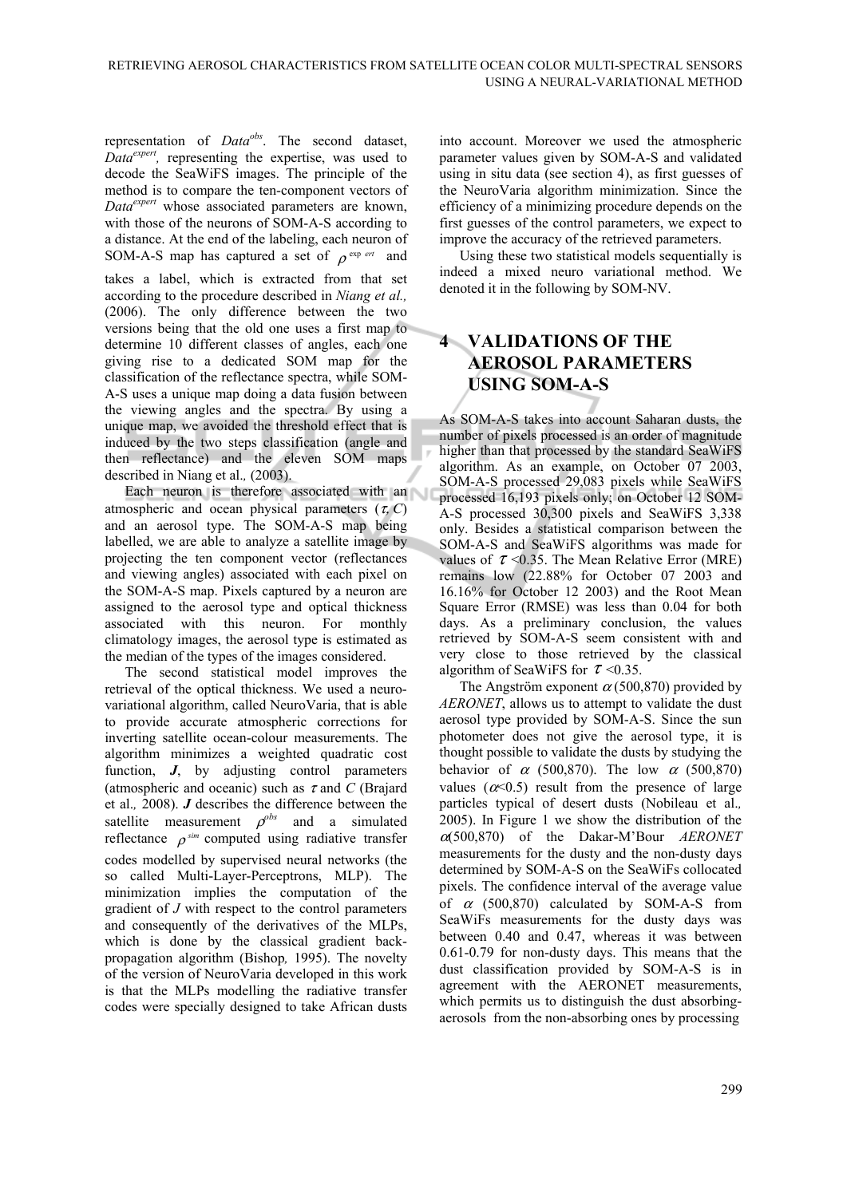representation of *Dataobs*. The second dataset, *Dataexpert,* representing the expertise, was used to decode the SeaWiFS images. The principle of the method is to compare the ten-component vectors of *Dataexpert* whose associated parameters are known, with those of the neurons of SOM-A-S according to a distance. At the end of the labeling, each neuron of SOM-A-S map has captured a set of  $\rho^{\text{exp} ert}$  and takes a label, which is extracted from that set according to the procedure described in *Niang et al.,* (2006). The only difference between the two versions being that the old one uses a first map to determine 10 different classes of angles, each one giving rise to a dedicated SOM map for the classification of the reflectance spectra, while SOM-A-S uses a unique map doing a data fusion between the viewing angles and the spectra. By using a unique map, we avoided the threshold effect that is induced by the two steps classification (angle and then reflectance) and the eleven SOM maps

described in Niang et al.*,* (2003). Each neuron is therefore associated with an atmospheric and ocean physical parameters  $(\tau, C)$ and an aerosol type. The SOM-A-S map being labelled, we are able to analyze a satellite image by projecting the ten component vector (reflectances and viewing angles) associated with each pixel on the SOM-A-S map. Pixels captured by a neuron are assigned to the aerosol type and optical thickness associated with this neuron. For monthly climatology images, the aerosol type is estimated as the median of the types of the images considered.

The second statistical model improves the retrieval of the optical thickness. We used a neurovariational algorithm, called NeuroVaria, that is able to provide accurate atmospheric corrections for inverting satellite ocean-colour measurements. The algorithm minimizes a weighted quadratic cost function, *J*, by adjusting control parameters (atmospheric and oceanic) such as τ and *C* (Brajard et al.*,* 2008). *J* describes the difference between the satellite measurement  $\rho^{obs}$  and a simulated reflectance  $\rho^{sim}$  computed using radiative transfer codes modelled by supervised neural networks (the so called Multi-Layer-Perceptrons, MLP). The minimization implies the computation of the gradient of *J* with respect to the control parameters and consequently of the derivatives of the MLPs, which is done by the classical gradient backpropagation algorithm (Bishop*,* 1995). The novelty of the version of NeuroVaria developed in this work is that the MLPs modelling the radiative transfer codes were specially designed to take African dusts

into account. Moreover we used the atmospheric parameter values given by SOM-A-S and validated using in situ data (see section 4), as first guesses of the NeuroVaria algorithm minimization. Since the efficiency of a minimizing procedure depends on the first guesses of the control parameters, we expect to improve the accuracy of the retrieved parameters.

Using these two statistical models sequentially is indeed a mixed neuro variational method. We denoted it in the following by SOM-NV.

# **4 VALIDATIONS OF THE AEROSOL PARAMETERS USING SOM-A-S**

As SOM-A-S takes into account Saharan dusts, the number of pixels processed is an order of magnitude higher than that processed by the standard SeaWiFS algorithm. As an example, on October 07 2003, SOM-A-S processed 29,083 pixels while SeaWiFS processed 16,193 pixels only; on October 12 SOM-A-S processed 30,300 pixels and SeaWiFS 3,338 only. Besides a statistical comparison between the SOM-A-S and SeaWiFS algorithms was made for values of  $\tau$  <0.35. The Mean Relative Error (MRE) remains low (22.88% for October 07 2003 and 16.16% for October 12 2003) and the Root Mean Square Error (RMSE) was less than 0.04 for both days. As a preliminary conclusion, the values retrieved by SOM-A-S seem consistent with and very close to those retrieved by the classical algorithm of SeaWiFS for  $\tau$  <0.35.

The Angström exponent  $\alpha$  (500,870) provided by *AERONET*, allows us to attempt to validate the dust aerosol type provided by SOM-A-S. Since the sun photometer does not give the aerosol type, it is thought possible to validate the dusts by studying the behavior of  $\alpha$  (500,870). The low  $\alpha$  (500,870) values ( $\alpha \le 0.5$ ) result from the presence of large particles typical of desert dusts (Nobileau et al.*,* 2005). In Figure 1 we show the distribution of the <sup>α</sup>(500,870) of the Dakar-M'Bour *AERONET*  measurements for the dusty and the non-dusty days determined by SOM-A-S on the SeaWiFs collocated pixels. The confidence interval of the average value of  $\alpha$  (500,870) calculated by SOM-A-S from SeaWiFs measurements for the dusty days was between 0.40 and 0.47, whereas it was between 0.61-0.79 for non-dusty days. This means that the dust classification provided by SOM-A-S is in agreement with the AERONET measurements, which permits us to distinguish the dust absorbingaerosols from the non-absorbing ones by processing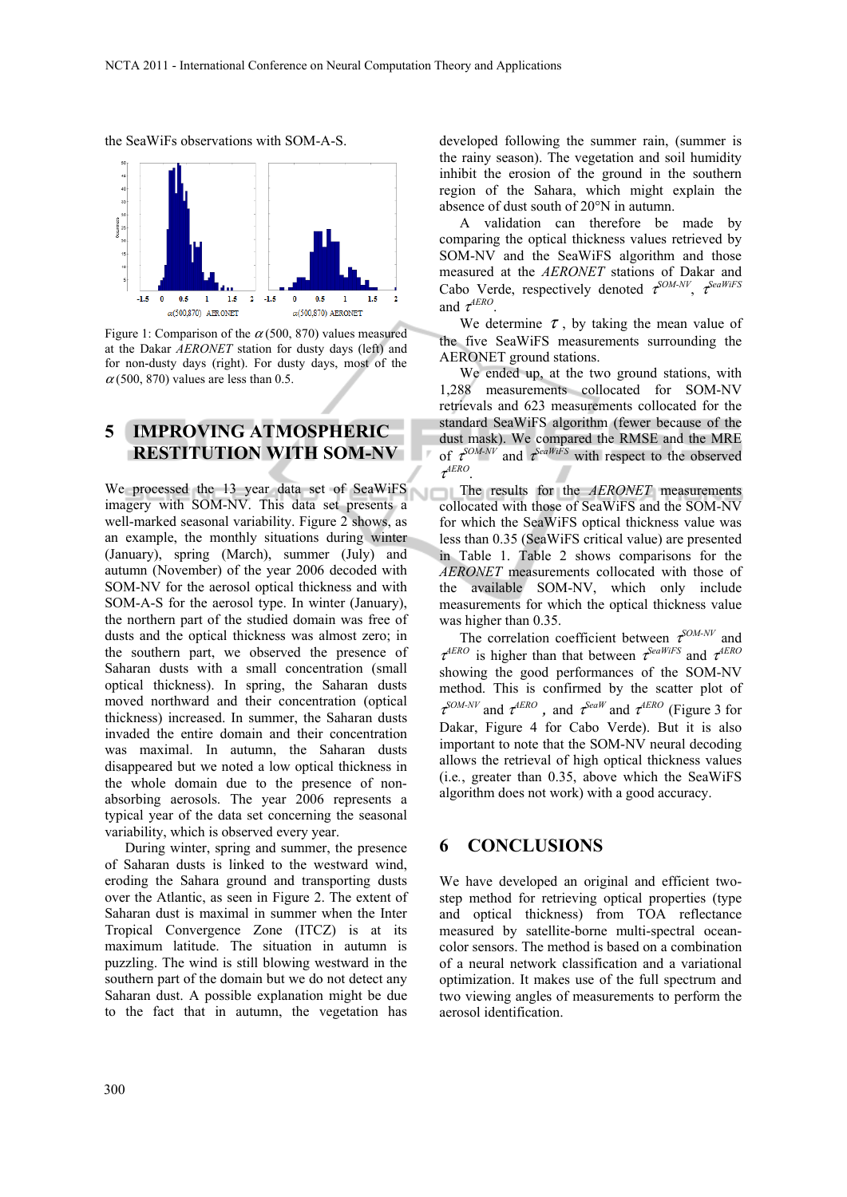

the SeaWiFs observations with SOM-A-S.

Figure 1: Comparison of the  $\alpha$  (500, 870) values measured at the Dakar *AERONET* station for dusty days (left) and for non-dusty days (right). For dusty days, most of the  $\alpha$ (500, 870) values are less than 0.5.

# **5 IMPROVING ATMOSPHERIC RESTITUTION WITH SOM-NV**

We processed the 13 year data set of SeaWiFS imagery with SOM-NV. This data set presents a well-marked seasonal variability. Figure 2 shows, as an example, the monthly situations during winter (January), spring (March), summer (July) and autumn (November) of the year 2006 decoded with SOM-NV for the aerosol optical thickness and with SOM-A-S for the aerosol type. In winter (January), the northern part of the studied domain was free of dusts and the optical thickness was almost zero; in the southern part, we observed the presence of Saharan dusts with a small concentration (small optical thickness). In spring, the Saharan dusts moved northward and their concentration (optical thickness) increased. In summer, the Saharan dusts invaded the entire domain and their concentration was maximal. In autumn, the Saharan dusts disappeared but we noted a low optical thickness in the whole domain due to the presence of nonabsorbing aerosols. The year 2006 represents a typical year of the data set concerning the seasonal variability, which is observed every year.

During winter, spring and summer, the presence of Saharan dusts is linked to the westward wind, eroding the Sahara ground and transporting dusts over the Atlantic, as seen in Figure 2. The extent of Saharan dust is maximal in summer when the Inter Tropical Convergence Zone (ITCZ) is at its maximum latitude. The situation in autumn is puzzling. The wind is still blowing westward in the southern part of the domain but we do not detect any Saharan dust. A possible explanation might be due to the fact that in autumn, the vegetation has

developed following the summer rain, (summer is the rainy season). The vegetation and soil humidity inhibit the erosion of the ground in the southern region of the Sahara, which might explain the absence of dust south of 20°N in autumn.

A validation can therefore be made by comparing the optical thickness values retrieved by SOM-NV and the SeaWiFS algorithm and those measured at the *AERONET* stations of Dakar and Cabo Verde, respectively denoted <sup>τ</sup> *SOM-NV*, <sup>τ</sup> *SeaWiFS* and  $\tau^{AERO}$ .

We determine  $\tau$ , by taking the mean value of the five SeaWiFS measurements surrounding the AERONET ground stations.

We ended up, at the two ground stations, with 1,288 measurements collocated for SOM-NV retrievals and 623 measurements collocated for the standard SeaWiFS algorithm (fewer because of the dust mask). We compared the RMSE and the MRE of  $\tau^{SOM-NV}$  and  $\tau^{SeaWiFS}$  with respect to the observed τ *AERO*.

The results for the **AERONET** measurements collocated with those of SeaWiFS and the SOM-NV for which the SeaWiFS optical thickness value was less than 0.35 (SeaWiFS critical value) are presented in Table 1. Table 2 shows comparisons for the *AERONET* measurements collocated with those of the available SOM-NV, which only include measurements for which the optical thickness value was higher than 0.35.

The correlation coefficient between  $\tau^{SOM-NV}$  and  $\tau^{AERO}$  is higher than that between  $\tau^{SeaWiFS}$  and  $\tau^{AERC}$ showing the good performances of the SOM-NV method. This is confirmed by the scatter plot of  $\tau^{SOM-NV}$  and  $\tau^{AERO}$ , and  $\tau^{SeaW}$  and  $\tau^{AERO}$  (Figure 3 for Dakar, Figure 4 for Cabo Verde). But it is also important to note that the SOM-NV neural decoding allows the retrieval of high optical thickness values (i.e*.*, greater than 0.35, above which the SeaWiFS algorithm does not work) with a good accuracy.

# **6 CONCLUSIONS**

We have developed an original and efficient twostep method for retrieving optical properties (type and optical thickness) from TOA reflectance measured by satellite-borne multi-spectral oceancolor sensors. The method is based on a combination of a neural network classification and a variational optimization. It makes use of the full spectrum and two viewing angles of measurements to perform the aerosol identification.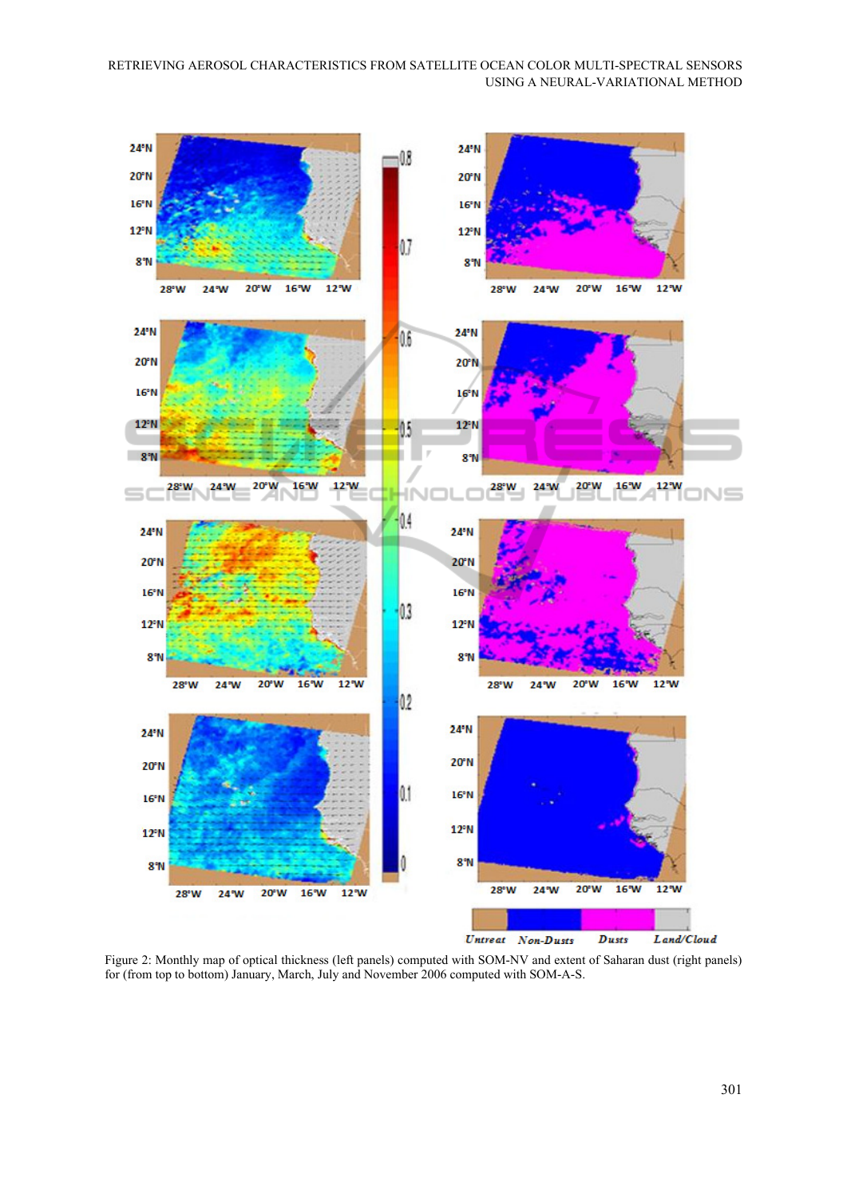

Figure 2: Monthly map of optical thickness (left panels) computed with SOM-NV and extent of Saharan dust (right panels) for (from top to bottom) January, March, July and November 2006 computed with SOM-A-S.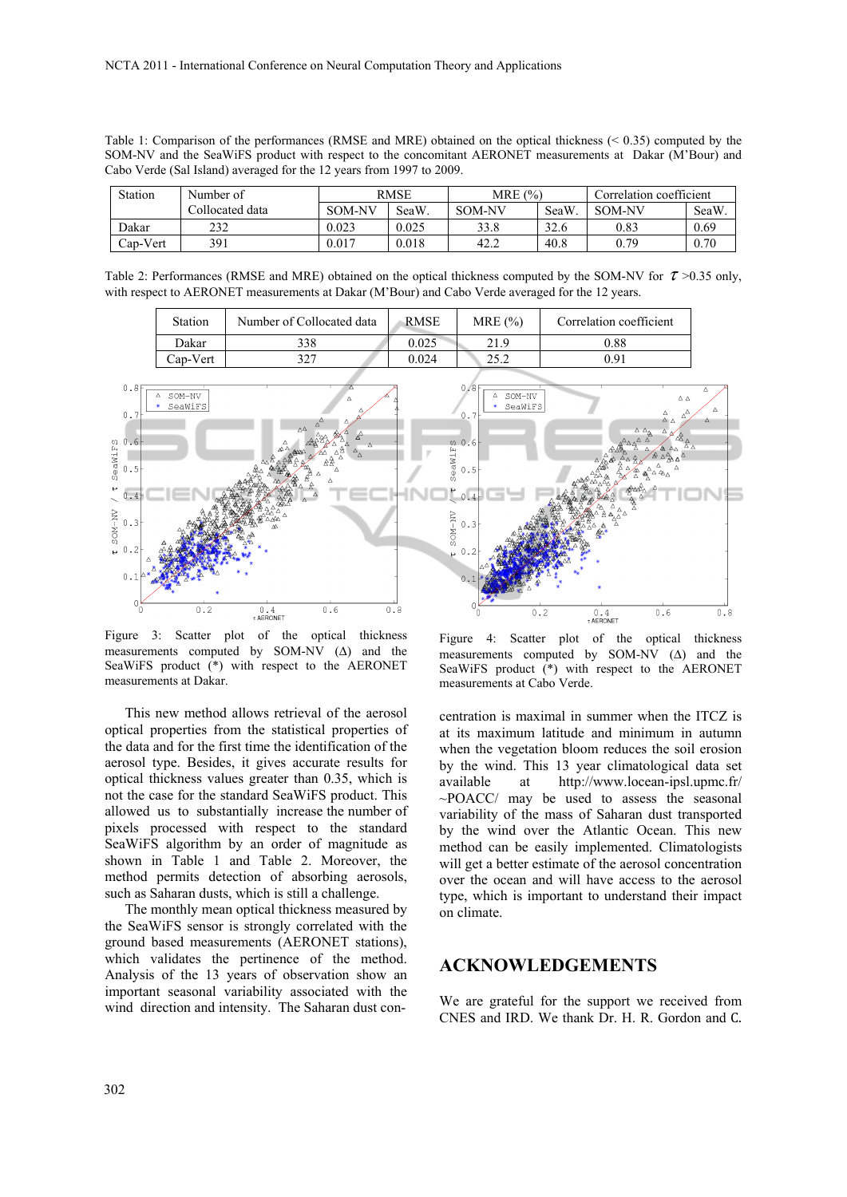Table 1: Comparison of the performances (RMSE and MRE) obtained on the optical thickness (< 0.35) computed by the SOM-NV and the SeaWiFS product with respect to the concomitant AERONET measurements at Dakar (M'Bour) and Cabo Verde (Sal Island) averaged for the 12 years from 1997 to 2009.

| Station  | Number of       | <b>RMSE</b>   |       | MRE $(%)$     |      | Correlation coefficient |      |
|----------|-----------------|---------------|-------|---------------|------|-------------------------|------|
|          | Collocated data | <b>SOM-NV</b> | SeaW  | <b>SOM-NV</b> | SeaW | <b>SOM-NV</b>           | SeaW |
| Dakar    | 232             | 0.023         | 0.025 | 33.8          | 32.6 | 0.83                    | 0.69 |
| Cap-Vert | 391             | 0.017         | 0.018 | 42.2          | 40.8 | 0.79                    | 0.70 |

Table 2: Performances (RMSE and MRE) obtained on the optical thickness computed by the SOM-NV for  $\tau > 0.35$  only, with respect to AERONET measurements at Dakar (M'Bour) and Cabo Verde averaged for the 12 years.

| Station  | Number of Collocated data | <b>RMSE</b> | MRE $(%)$ | Correlation coefficient |
|----------|---------------------------|-------------|-----------|-------------------------|
| Dakar    | 338                       | 0.025       | 21.9      | 0.88                    |
| Cap-Vert | 207                       | 0.024       | າ< າ      | 0.91                    |



Figure 3: Scatter plot of the optical thickness measurements computed by SOM-NV  $(\Delta)$  and the SeaWiFS product (\*) with respect to the AERONET measurements at Dakar.

This new method allows retrieval of the aerosol optical properties from the statistical properties of the data and for the first time the identification of the aerosol type. Besides, it gives accurate results for optical thickness values greater than 0.35, which is not the case for the standard SeaWiFS product. This allowed us to substantially increase the number of pixels processed with respect to the standard SeaWiFS algorithm by an order of magnitude as shown in Table 1 and Table 2. Moreover, the method permits detection of absorbing aerosols, such as Saharan dusts, which is still a challenge.

The monthly mean optical thickness measured by the SeaWiFS sensor is strongly correlated with the ground based measurements (AERONET stations), which validates the pertinence of the method. Analysis of the 13 years of observation show an important seasonal variability associated with the wind direction and intensity. The Saharan dust con-

Figure 4: Scatter plot of the optical thickness measurements computed by SOM-NV (Δ) and the SeaWiFS product (\*) with respect to the AERONET measurements at Cabo Verde.

centration is maximal in summer when the ITCZ is at its maximum latitude and minimum in autumn when the vegetation bloom reduces the soil erosion by the wind. This 13 year climatological data set available at http://www.locean-ipsl.upmc.fr/ ~POACC/ may be used to assess the seasonal variability of the mass of Saharan dust transported by the wind over the Atlantic Ocean. This new method can be easily implemented. Climatologists will get a better estimate of the aerosol concentration over the ocean and will have access to the aerosol type, which is important to understand their impact on climate.

### **ACKNOWLEDGEMENTS**

We are grateful for the support we received from CNES and IRD. We thank Dr. H. R. Gordon and C.